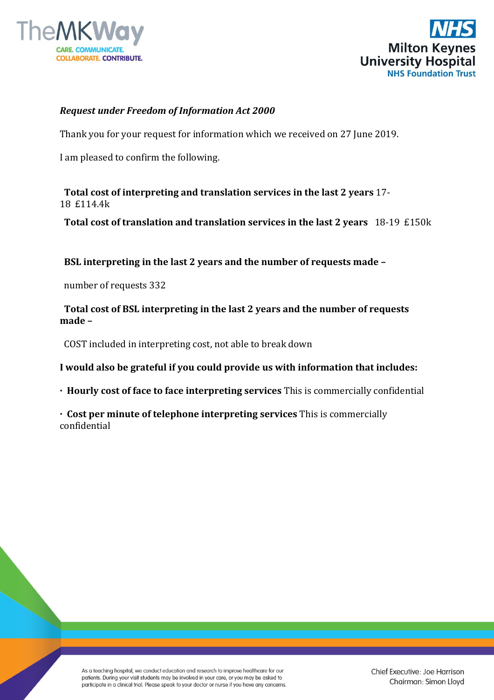



## *Request under Freedom of Information Act 2000*

Thank you for your request for information which we received on 27 June 2019.

I am pleased to confirm the following.

**Total cost of interpreting and translation services in the last 2 years** 17- 18 £114.4k

 **Total cost of translation and translation services in the last 2 years** 18-19 £150k

 **BSL interpreting in the last 2 years and the number of requests made –**

number of requests 332

 **Total cost of BSL interpreting in the last 2 years and the number of requests made –**

COST included in interpreting cost, not able to break down

**I would also be grateful if you could provide us with information that includes:**

**· Hourly cost of face to face interpreting services** This is commercially confidential

**· Cost per minute of telephone interpreting services** This is commercially confidential

As a teaching hospital, we conduct education and research to improve healthcare for our patients. During your visit students may be involved in your care, or you may be asked to participate in a clinical trial. Please speak to your doctor or nurse if you have any concerns.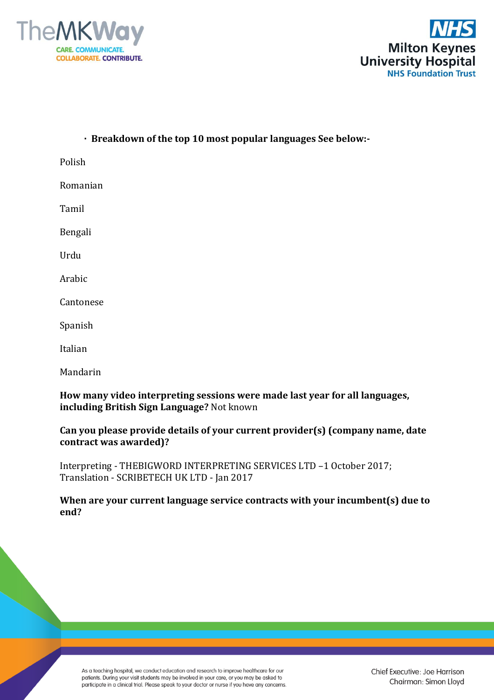



| · Breakdown of the top 10 most popular languages See below:-                                                              |
|---------------------------------------------------------------------------------------------------------------------------|
| Polish                                                                                                                    |
| Romanian                                                                                                                  |
| Tamil                                                                                                                     |
| Bengali                                                                                                                   |
| Urdu                                                                                                                      |
| Arabic                                                                                                                    |
| Cantonese                                                                                                                 |
| Spanish                                                                                                                   |
| Italian                                                                                                                   |
| Mandarin                                                                                                                  |
| How many video interpreting sessions were made last year for all languages,<br>including British Sign Language? Not known |

## **Can you please provide details of your current provider(s) (company name, date contract was awarded)?**

Interpreting - THEBIGWORD INTERPRETING SERVICES LTD –1 October 2017; Translation - SCRIBETECH UK LTD - Jan 2017

**When are your current language service contracts with your incumbent(s) due to end?**